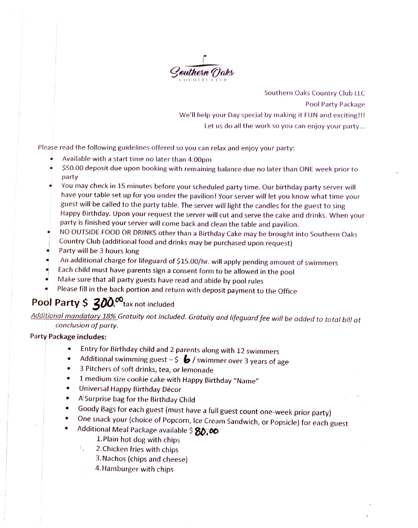

Southern Oaks Country Club LLC Pool Party Package We'll help your Day special by making it FUN and exciting!!! Let us do all the work so you can enjoy your party...

Please read the following guidelines offered so you can relax and enjoy your party:

- Available with a start time no later than 4:00pm
- \$S0.00 deposit due upon booking with remaining balance due no later than ONE week prior to party
- You may check in 15 minutes before your scheduled party time. Our birthday party server will have your table set up for you under the pavilion! Your server will et you know what time your guest will be called to the party table. The server will light the candles for the guest to sing Happy Birthday. Upon your request the server will cut and serve the cake and drinks. When your<br>party is finished your server will come back and clean the table and pavilion.
- NO OUTSIDE FOOD OR DRINKS other than a Birthday Cake may be brought into Southern Oaks Country Club (additional food and drinks may be purchased upon request) Party will be 3 hours long
- 
- An additional charge for lifeguard of \$15.00/hr. will apply pending amount of swimmers
- Each child must have parents sign a consent form to be allowed in the pool Make sure that all party guests have read and abide by pool rules
- 
- Please fill in the back portion and return with deposit payment to the Office

# Pool Party  $$300<sup>o</sup>$ tax not included

Additional mandatary 18% Gratuity not included. Gratuity and lifeguard fee will be added to total bill at conclusion of party.

#### Party Package includes:

- Entry for Birthday child and 2 parents along with 12 swimmers  $\bullet$
- Additional swimming guest  $-\frac{6}{3}$  swimmer over 3 years of age 3 Pitchers of soft drinks, tea, or lemonade
- 
- 1 medium size cookie cake with Happy Birthday "Name"  $\bullet$
- Universal Happy Birthday Décor
- 
- A'Surprise bag for the Birthday Child<br>Goody Bags for each guest (must have a full guest count one-week prior party)
- One snack your (choice of Popcorn, Ice Cream Sandwich, or Popsicle) for each guest<br>Additional Meal Package available  $\frac{1}{2}$  80.00<br>1. Plain hot dog with chips<br>2. Chicken fries with chips
- -
	- 2.Chicken fries with chips
	- 3. Nachos (chips and cheese)
	- 4.Hamburger with chips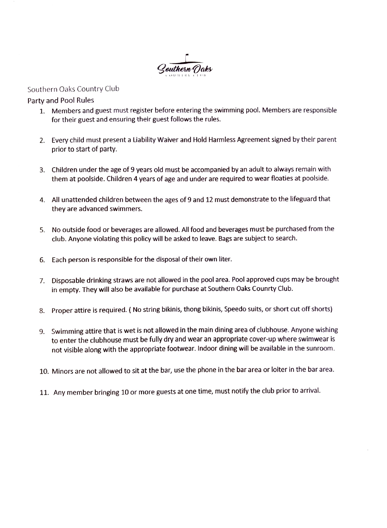

#### Southern Oaks Country Club

#### Party and Pool Rules

- 1. Members and guest must register before entering the swimming pool. Members are responsible for their guest and ensuring their guest follows the rules.
- 2. Every child must present a Liability Waiver and Hold Harmless Agreement signed by their parent prior to start of party.
- 3. Children under the age of 9 years old must be accompanied by an adult to always remain with them at poolside. Children 4 years of age and under are required to wear floaties at poolside.
- 4. All unattended children between the ages of 9 and 12 must demonstrate to the lifeguard that they are advanced swimmers.
- 5. No outside food or beverages are allowed. All food and beverages must be purchased from the club. Anyone violating this policy will be asked to leave. Bags are subject to search.
- 6. Each person is responsible for the disposal of their own liter.
- 7. Disposable drinking straws are not allowed in the pool area. Pool approved cups may be brought in empty. They will also be available for purchase at Southern Oaks Counrty Club.
- 8. Proper attire is required. ( No string bikinis, thong bikinis, Speedo suits, or short cut off shorts)
- 9. Swimming attire that is wet is not allowed in the main dining area of clubhouse. Anyone wishing to enter the clubhouse must be fully dry and wear an appropriate cover-up where swimwear is not visible along with the appropriate footwear. Indoor dining will be available in the sunroom.
- 10. Minors are not allowed to sit at the bar, use the phone in the bar area or loiter in the bar area.
- 11. Any member bringing 10 or more guests at one time, must notify the club prior to arrival.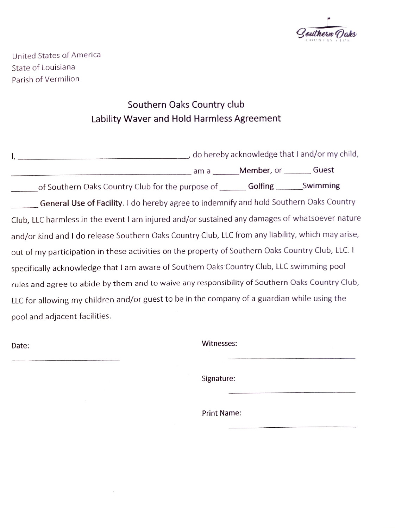

United States of America State of Louisiana Parish of Vermilion

## Southern Oaks Country club Lability Waver and Hold Harmless Agreement

| $\mathsf{l}$ ,                                                                                    | do hereby acknowledge that I and/or my child, |  |
|---------------------------------------------------------------------------------------------------|-----------------------------------------------|--|
|                                                                                                   | am a _______ Member, or ________ Guest        |  |
| of Southern Oaks Country Club for the purpose of __________ Golfing _________ Swimming            |                                               |  |
| General Use of Facility. I do hereby agree to indemnify and hold Southern Oaks Country            |                                               |  |
| Club, LLC harmless in the event I am injured and/or sustained any damages of whatsoever nature    |                                               |  |
| and/or kind and I do release Southern Oaks Country Club, LLC from any liability, which may arise, |                                               |  |
| out of my participation in these activities on the property of Southern Oaks Country Club, LLC. I |                                               |  |
| specifically acknowledge that I am aware of Southern Oaks Country Club, LLC swimming pool         |                                               |  |
| rules and agree to abide by them and to waive any responsibility of Southern Oaks Country Club,   |                                               |  |
| LLC for allowing my children and/or guest to be in the company of a guardian while using the      |                                               |  |
| pool and adjacent facilities.                                                                     |                                               |  |

Date: Witnesses:

Signature:

Print Name: